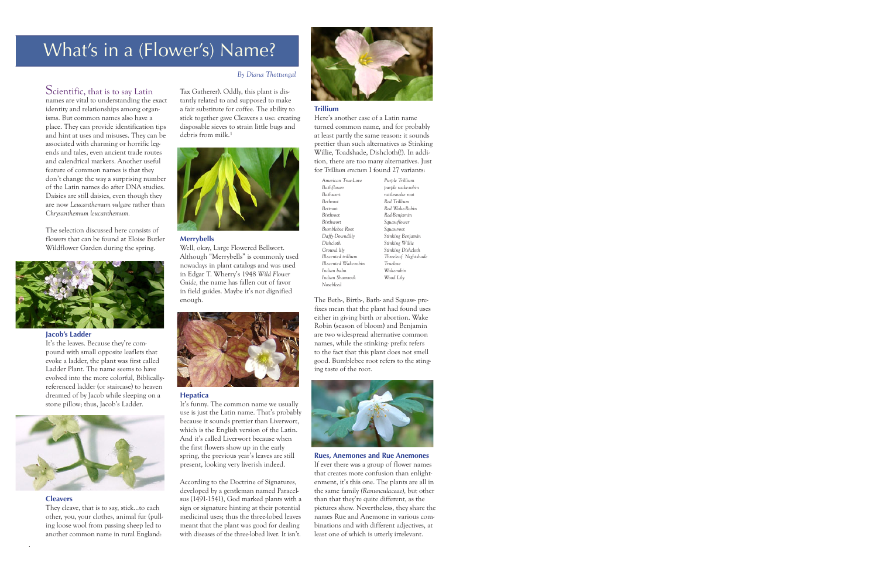# What's in a (Flower's) Name?

# Scientific, that is to say Latin

names are vital to understanding the exact identity and relationships among organisms. But common names also have a place. They can provide identification tips and hint at uses and misuses. They can be associated with charming or horrific legends and tales, even ancient trade routes and calendrical markers. Another useful feature of common names is that they don't change the way a surprising number of the Latin names do after DNA studies. Daisies are still daisies, even though they are now *Leucanthemum vulgare* rather than *Chrysanthemum leucanthemum.*

The selection discussed here consists of flowers that can be found at Eloise Butler Wildflower Garden during the spring.



#### **Jacob's Ladder**

It's the leaves. Because they're compound with small opposite leaflets that evoke a ladder, the plant was first called Ladder Plant. The name seems to have evolved into the more colorful, Biblicallyreferenced ladder (or staircase) to heaven dreamed of by Jacob while sleeping on a stone pillow; thus, Jacob's Ladder.



#### **Cleavers**

They cleave, that is to say, stick…to each other, you, your clothes, animal fur (pulling loose wool from passing sheep led to another common name in rural England:

#### *By Diana Thottungal*

Tax Gatherer). Oddly, this plant is distantly related to and supposed to make a fair substitute for coffee. The ability to stick together gave Cleavers a use: creating disposable sieves to strain little bugs and debris from milk.1



#### **Merrybells**

Well, okay, Large Flowered Bellwort. Although "Merrybells" is commonly used nowadays in plant catalogs and was used in Edgar T. Wherry's 1948 *Wild Flower Guide,* the name has fallen out of favor in field guides. Maybe it's not dignified enough.



#### **Hepatica**

It's funny. The common name we usually use is just the Latin name. That's probably because it sounds prettier than Liverwort, which is the English version of the Latin. And it's called Liverwort because when the first flowers show up in the early spring, the previous year's leaves are still present, looking very liverish indeed.

According to the Doctrine of Signatures, developed by a gentleman named Paracelsus (1491-1541), God marked plants with a sign or signature hinting at their potential medicinal uses; thus the three-lobed leaves meant that the plant was good for dealing with diseases of the three-lobed liver. It isn't.



## **Trillium**

Here's another case of a Latin name turned common name, and for probably at least partly the same reason: it sounds prettier than such alternatives as Stinking Willie, Toadshade, Dishcloth(!). In addition, there are too many alternatives. Just for *Trillium erectum* I found 27 variants:

| American True-Love     |
|------------------------|
| Bathflower             |
| <b>Bathwort</b>        |
| Bethroot               |
| Bettroot               |
| Birthroot              |
| Birthwort              |
| Bumblebee Root         |
| Daffy-Downdilly        |
| Dishcloth              |
| Ground lily            |
| Ill-scented trillium   |
| Ill-scented Wake-robin |
| Indian balm            |
| Indian Shamrock        |
| Nosebleed              |

*Purple Trillium purple wake-robin rattlesnake root Red Trillium Red Wake-Robin Red-Benjamin Squawflower Squawroot Stinking Benjamin Stinking Willie Stinking Dishcloth Threeleaf Nightshade Truelove Wake-robin Wood Lily* 

The Beth-, Birth-, Bath- and Squaw- prefixes mean that the plant had found uses either in giving birth or abortion. Wake Robin (season of bloom) and Benjamin are two widespread alternative common names, while the stinking- prefix refers to the fact that this plant does not smell good. Bumblebee root refers to the stinging taste of the root.



**Rues, Anemones and Rue Anemones** If ever there was a group of flower names that creates more confusion than enlightenment, it's this one. The plants are all in the same family *(Ranunculaceae),* but other than that they're quite different, as the pictures show. Nevertheless, they share the names Rue and Anemone in various combinations and with different adjectives, at least one of which is utterly irrelevant.